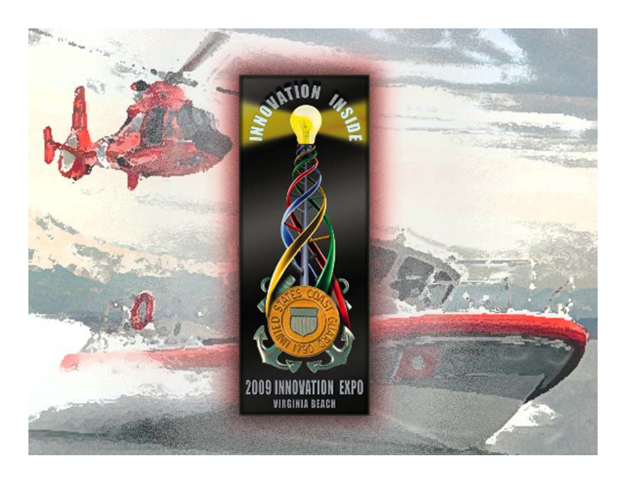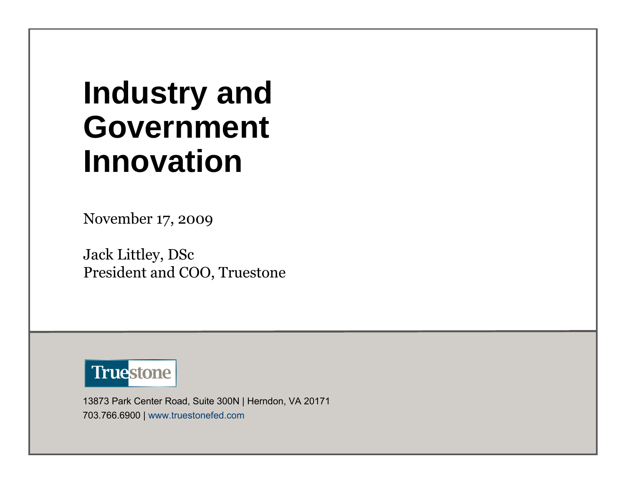# **Industry and Government Innovation**

November 17, 2009

Jack Littley, DSc President and COO, Truestone



13873 Park Center Road, Suite 300N | Herndon, VA 20171 703.766.6900 | www.truestonefed.com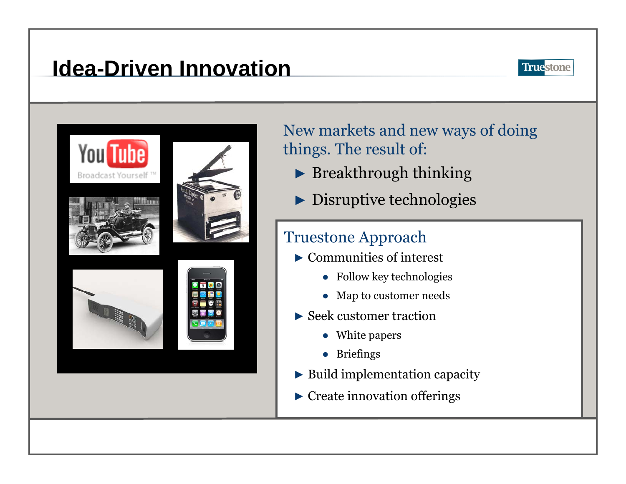# **Idea-Driven Innovation**



New markets and new ways of doing things. The result of:

- ► Breakthrough thinking
- ► Disruptive technologies

### Truestone Approach

- ► Communities of interest
	- Follow key technologies
	- Map to customer needs
- ► Seek customer traction
	- White papers
	- Briefings
- ►Build implementation capacity
- ► Create innovation offerings

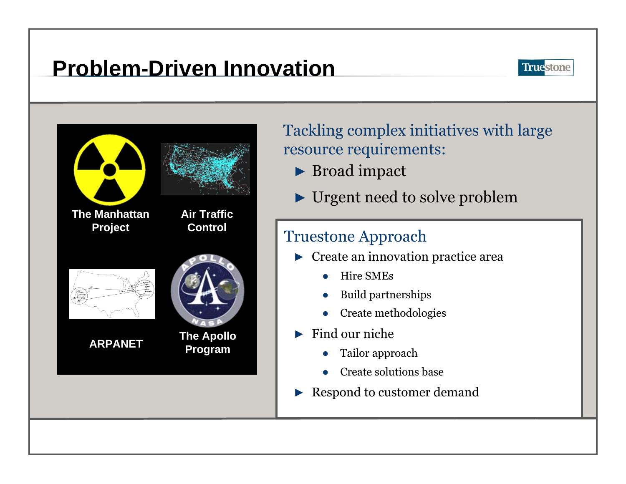# **Problem-Driven Innovation**



Tackling complex initiatives with large resource requirements:

- ► Broad impact
- ► Urgent need to solve problem

#### Truestone Approach

- ► Create an innovation practice area
	- ●Hire SMEs
	- ●Build partnerships
	- ●Create methodologies
- ► Find our niche
	- ●Tailor approach
	- ●Create solutions base
- ►Respond to customer demand

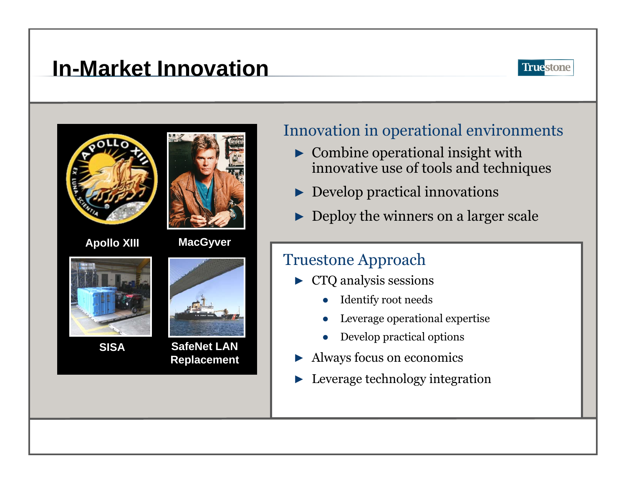## **In-Market Innovation**





**SISA**





#### Innovation in operational environments

- $\triangleright$  Combine operational insight with innovative use of tools and techniques
- ► Develop practical innovations
- ►Deploy the winners on a larger scale

#### Truestone Approach

- ► CTQ analysis sessions
	- ●Identify root needs
	- ●Leverage operational expertise
	- ●Develop practical options
- ►Always focus on economics
- ►Leverage technology integration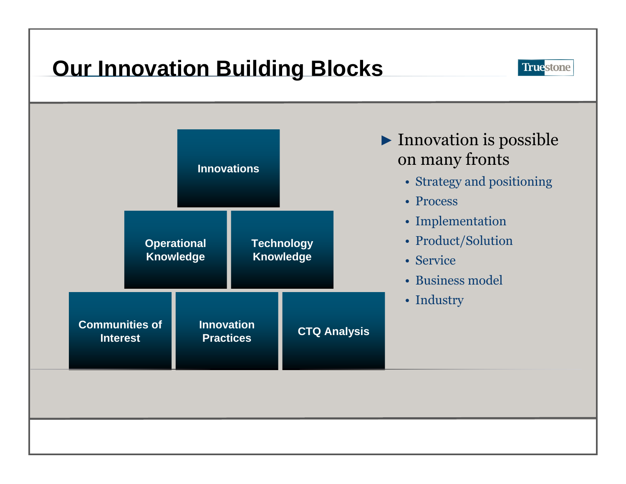# **Our Innovation Building Blocks**



**Truestone**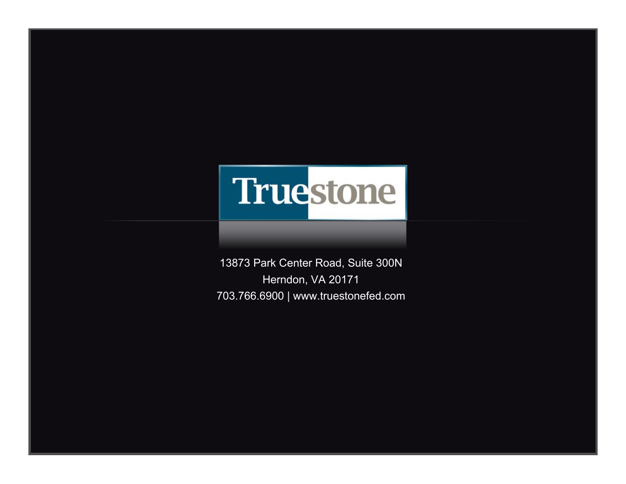

13873 Park Center Road, Suite 300N Herndon, VA 20171 703.766.6900 | www.truestonefed.com